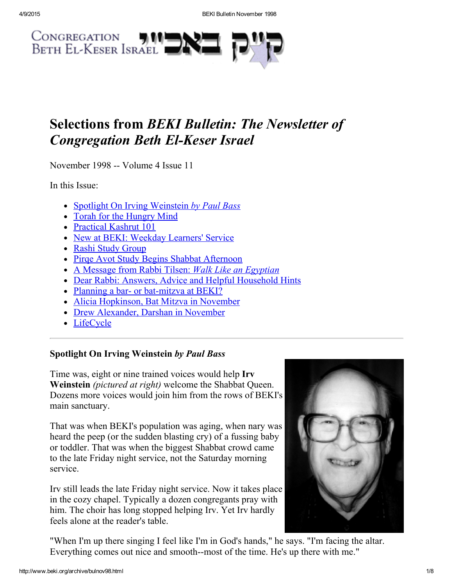

# Selections from BEKI Bulletin: The Newsletter of **Congregation Beth El-Keser Israel**

November 1998 -- Volume 4 Issue 11

In this Issue:

- Spotlight On Irving [Weinstein](#page-0-0) by Paul Bass
- Torah for the [Hungry](#page-2-2) Mind
- [Practical](#page-2-0) Kashrut 101
- New at BEKI: [Weekday](#page-2-3) Learners' Service
- Rashi Study [Group](#page-2-4)
- Pirqe Avot Study Begins Shabbat [Afternoon](#page-2-1)
- A Message from Rabbi Tilsen: Walk Like an [Egyptian](#page-3-0)
- Dear Rabbi: Answers, Advice and Helpful [Household](#page-5-0) Hints
- Planning a bar- or bat-mitzva at BEKI?
- Alicia [Hopkinson,](#page-6-3) Bat Mitzva in November
- Drew [Alexander,](#page-6-1) Darshan in November
- [LifeCycle](#page-6-0)

# <span id="page-0-0"></span>Spotlight On Irving Weinstein by Paul Bass

Time was, eight or nine trained voices would help Irv Weinstein *(pictured at right)* welcome the Shabbat Queen. Dozens more voices would join him from the rows of BEKI's main sanctuary.

That was when BEKI's population was aging, when nary was heard the peep (or the sudden blasting cry) of a fussing baby or toddler. That was when the biggest Shabbat crowd came to the late Friday night service, not the Saturday morning service.

Irv still leads the late Friday night service. Now it takes place in the cozy chapel. Typically a dozen congregants pray with him. The choir has long stopped helping Irv. Yet Irv hardly feels alone at the reader's table.



"When I'm up there singing I feel like I'm in God's hands," he says. "I'm facing the altar. Everything comes out nice and smooth--most of the time. He's up there with me."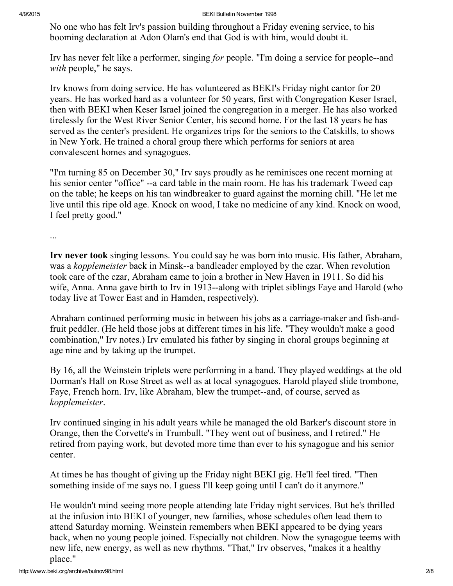No one who has felt Irv's passion building throughout a Friday evening service, to his booming declaration at Adon Olam's end that God is with him, would doubt it.

Irv has never felt like a performer, singing for people. "I'm doing a service for people--and with people," he says.

Irv knows from doing service. He has volunteered as BEKI's Friday night cantor for 20 years. He has worked hard as a volunteer for 50 years, first with Congregation Keser Israel, then with BEKI when Keser Israel joined the congregation in a merger. He has also worked tirelessly for the West River Senior Center, his second home. For the last 18 years he has served as the center's president. He organizes trips for the seniors to the Catskills, to shows in New York. He trained a choral group there which performs for seniors at area convalescent homes and synagogues.

"I'm turning 85 on December 30," Irv says proudly as he reminisces one recent morning at his senior center "office" --a card table in the main room. He has his trademark Tweed cap on the table; he keeps on his tan windbreaker to guard against the morning chill. "He let me live until this ripe old age. Knock on wood, I take no medicine of any kind. Knock on wood, I feel pretty good."

...

Irv never took singing lessons. You could say he was born into music. His father, Abraham, was a kopplemeister back in Minsk--a bandleader employed by the czar. When revolution took care of the czar, Abraham came to join a brother in New Haven in 1911. So did his wife, Anna. Anna gave birth to Irv in 1913--along with triplet siblings Faye and Harold (who today live at Tower East and in Hamden, respectively).

Abraham continued performing music in between his jobs as a carriage-maker and fish-andfruit peddler. (He held those jobs at different times in his life. "They wouldn't make a good combination," Irv notes.) Irv emulated his father by singing in choral groups beginning at age nine and by taking up the trumpet.

By 16, all the Weinstein triplets were performing in a band. They played weddings at the old Dorman's Hall on Rose Street as well as at local synagogues. Harold played slide trombone, Faye, French horn. Irv, like Abraham, blew the trumpet--and, of course, served as kopplemeister.

Irv continued singing in his adult years while he managed the old Barker's discount store in Orange, then the Corvette's in Trumbull. "They went out of business, and I retired." He retired from paying work, but devoted more time than ever to his synagogue and his senior center.

At times he has thought of giving up the Friday night BEKI gig. He'll feel tired. "Then something inside of me says no. I guess I'll keep going until I can't do it anymore."

He wouldn't mind seeing more people attending late Friday night services. But he's thrilled at the infusion into BEKI of younger, new families, whose schedules often lead them to attend Saturday morning. Weinstein remembers when BEKI appeared to be dying years back, when no young people joined. Especially not children. Now the synagogue teems with new life, new energy, as well as new rhythms. "That," Irv observes, "makes it a healthy place."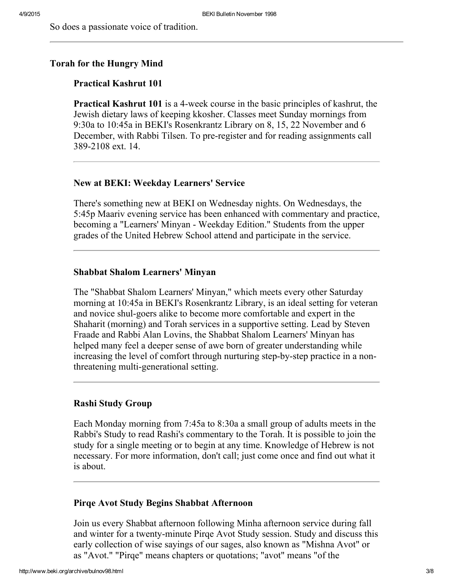So does a passionate voice of tradition.

#### <span id="page-2-2"></span>Torah for the Hungry Mind

# <span id="page-2-0"></span>Practical Kashrut 101

**Practical Kashrut 101** is a 4-week course in the basic principles of kashrut, the Jewish dietary laws of keeping kkosher. Classes meet Sunday mornings from 9:30a to 10:45a in BEKI's Rosenkrantz Library on 8, 15, 22 November and 6 December, with Rabbi Tilsen. To pre-register and for reading assignments call 3892108 ext. 14.

#### <span id="page-2-3"></span>New at BEKI: Weekday Learners' Service

There's something new at BEKI on Wednesday nights. On Wednesdays, the 5:45p Maariv evening service has been enhanced with commentary and practice, becoming a "Learners' Minyan - Weekday Edition." Students from the upper grades of the United Hebrew School attend and participate in the service.

## Shabbat Shalom Learners' Minyan

The "Shabbat Shalom Learners' Minyan," which meets every other Saturday morning at 10:45a in BEKI's Rosenkrantz Library, is an ideal setting for veteran and novice shul-goers alike to become more comfortable and expert in the Shaharit (morning) and Torah services in a supportive setting. Lead by Steven Fraade and Rabbi Alan Lovins, the Shabbat Shalom Learners' Minyan has helped many feel a deeper sense of awe born of greater understanding while increasing the level of comfort through nurturing step-by-step practice in a nonthreatening multi-generational setting.

#### <span id="page-2-4"></span>Rashi Study Group

Each Monday morning from 7:45a to 8:30a a small group of adults meets in the Rabbi's Study to read Rashi's commentary to the Torah. It is possible to join the study for a single meeting or to begin at any time. Knowledge of Hebrew is not necessary. For more information, don't call; just come once and find out what it is about.

#### <span id="page-2-1"></span>Pirqe Avot Study Begins Shabbat Afternoon

Join us every Shabbat afternoon following Minha afternoon service during fall and winter for a twenty-minute Pirqe Avot Study session. Study and discuss this early collection of wise sayings of our sages, also known as "Mishna Avot" or as "Avot." "Pirqe" means chapters or quotations; "avot" means "of the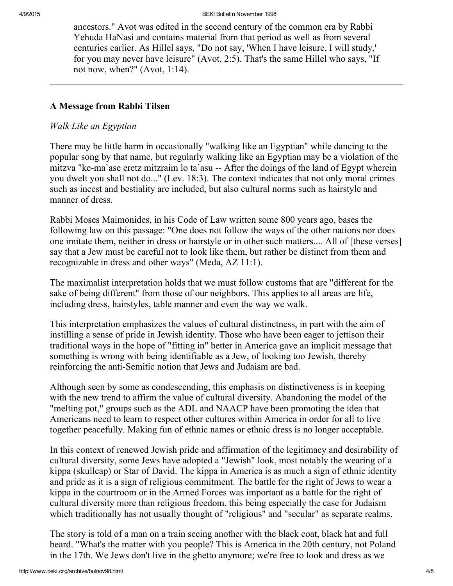ancestors." Avot was edited in the second century of the common era by Rabbi Yehuda HaNasi and contains material from that period as well as from several centuries earlier. As Hillel says, "Do not say, 'When I have leisure, I will study,' for you may never have leisure" (Avot, 2:5). That's the same Hillel who says, "If not now, when?" (Avot, 1:14).

# <span id="page-3-0"></span>A Message from Rabbi Tilsen

# Walk Like an Egyptian

There may be little harm in occasionally "walking like an Egyptian" while dancing to the popular song by that name, but regularly walking like an Egyptian may be a violation of the mitzva "ke-ma`ase eretz mitzraim lo ta`asu -- After the doings of the land of Egypt wherein you dwelt you shall not do..." (Lev. 18:3). The context indicates that not only moral crimes such as incest and bestiality are included, but also cultural norms such as hairstyle and manner of dress.

Rabbi Moses Maimonides, in his Code of Law written some 800 years ago, bases the following law on this passage: "One does not follow the ways of the other nations nor does one imitate them, neither in dress or hairstyle or in other such matters.... All of [these verses] say that a Jew must be careful not to look like them, but rather be distinct from them and recognizable in dress and other ways" (Meda, AZ 11:1).

The maximalist interpretation holds that we must follow customs that are "different for the sake of being different" from those of our neighbors. This applies to all areas are life, including dress, hairstyles, table manner and even the way we walk.

This interpretation emphasizes the values of cultural distinctness, in part with the aim of instilling a sense of pride in Jewish identity. Those who have been eager to jettison their traditional ways in the hope of "fitting in" better in America gave an implicit message that something is wrong with being identifiable as a Jew, of looking too Jewish, thereby reinforcing the anti-Semitic notion that Jews and Judaism are bad.

Although seen by some as condescending, this emphasis on distinctiveness is in keeping with the new trend to affirm the value of cultural diversity. Abandoning the model of the "melting pot," groups such as the ADL and NAACP have been promoting the idea that Americans need to learn to respect other cultures within America in order for all to live together peacefully. Making fun of ethnic names or ethnic dress is no longer acceptable.

In this context of renewed Jewish pride and affirmation of the legitimacy and desirability of cultural diversity, some Jews have adopted a "Jewish" look, most notably the wearing of a kippa (skullcap) or Star of David. The kippa in America is as much a sign of ethnic identity and pride as it is a sign of religious commitment. The battle for the right of Jews to wear a kippa in the courtroom or in the Armed Forces was important as a battle for the right of cultural diversity more than religious freedom, this being especially the case for Judaism which traditionally has not usually thought of "religious" and "secular" as separate realms.

The story is told of a man on a train seeing another with the black coat, black hat and full beard. "What's the matter with you people? This is America in the 20th century, not Poland in the 17th. We Jews don't live in the ghetto anymore; we're free to look and dress as we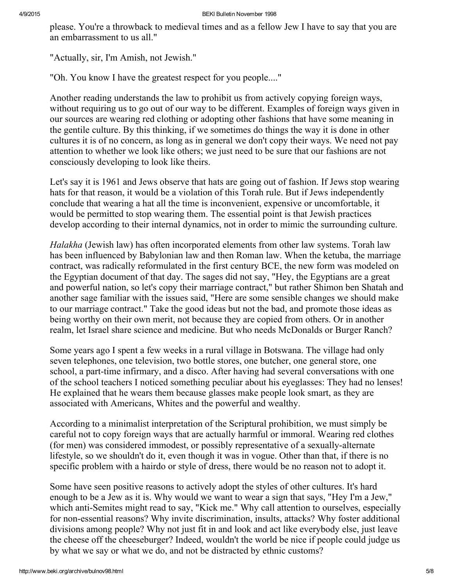please. You're a throwback to medieval times and as a fellow Jew I have to say that you are an embarrassment to us all."

"Actually, sir, I'm Amish, not Jewish."

"Oh. You know I have the greatest respect for you people...."

Another reading understands the law to prohibit us from actively copying foreign ways, without requiring us to go out of our way to be different. Examples of foreign ways given in our sources are wearing red clothing or adopting other fashions that have some meaning in the gentile culture. By this thinking, if we sometimes do things the way it is done in other cultures it is of no concern, as long as in general we don't copy their ways. We need not pay attention to whether we look like others; we just need to be sure that our fashions are not consciously developing to look like theirs.

Let's say it is 1961 and Jews observe that hats are going out of fashion. If Jews stop wearing hats for that reason, it would be a violation of this Torah rule. But if Jews independently conclude that wearing a hat all the time is inconvenient, expensive or uncomfortable, it would be permitted to stop wearing them. The essential point is that Jewish practices develop according to their internal dynamics, not in order to mimic the surrounding culture.

Halakha (Jewish law) has often incorporated elements from other law systems. Torah law has been influenced by Babylonian law and then Roman law. When the ketuba, the marriage contract, was radically reformulated in the first century BCE, the new form was modeled on the Egyptian document of that day. The sages did not say, "Hey, the Egyptians are a great and powerful nation, so let's copy their marriage contract," but rather Shimon ben Shatah and another sage familiar with the issues said, "Here are some sensible changes we should make to our marriage contract." Take the good ideas but not the bad, and promote those ideas as being worthy on their own merit, not because they are copied from others. Or in another realm, let Israel share science and medicine. But who needs McDonalds or Burger Ranch?

Some years ago I spent a few weeks in a rural village in Botswana. The village had only seven telephones, one television, two bottle stores, one butcher, one general store, one school, a part-time infirmary, and a disco. After having had several conversations with one of the school teachers I noticed something peculiar about his eyeglasses: They had no lenses! He explained that he wears them because glasses make people look smart, as they are associated with Americans, Whites and the powerful and wealthy.

According to a minimalist interpretation of the Scriptural prohibition, we must simply be careful not to copy foreign ways that are actually harmful or immoral. Wearing red clothes (for men) was considered immodest, or possibly representative of a sexually-alternate lifestyle, so we shouldn't do it, even though it was in vogue. Other than that, if there is no specific problem with a hairdo or style of dress, there would be no reason not to adopt it.

Some have seen positive reasons to actively adopt the styles of other cultures. It's hard enough to be a Jew as it is. Why would we want to wear a sign that says, "Hey I'm a Jew," which anti-Semites might read to say, "Kick me." Why call attention to ourselves, especially for non-essential reasons? Why invite discrimination, insults, attacks? Why foster additional divisions among people? Why not just fit in and look and act like everybody else, just leave the cheese off the cheeseburger? Indeed, wouldn't the world be nice if people could judge us by what we say or what we do, and not be distracted by ethnic customs?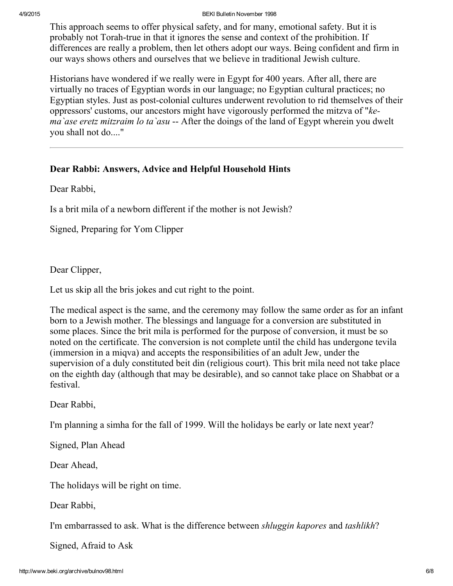4/9/2015 BEKI Bulletin November 1998

This approach seems to offer physical safety, and for many, emotional safety. But it is probably not Torah-true in that it ignores the sense and context of the prohibition. If differences are really a problem, then let others adopt our ways. Being confident and firm in our ways shows others and ourselves that we believe in traditional Jewish culture.

Historians have wondered if we really were in Egypt for 400 years. After all, there are virtually no traces of Egyptian words in our language; no Egyptian cultural practices; no Egyptian styles. Just as post-colonial cultures underwent revolution to rid themselves of their oppressors' customs, our ancestors might have vigorously performed the mitzva of "kema ase eretz mitzraim lo ta asu -- After the doings of the land of Egypt wherein you dwelt you shall not do...."

# <span id="page-5-0"></span>Dear Rabbi: Answers, Advice and Helpful Household Hints

Dear Rabbi,

Is a brit mila of a newborn different if the mother is not Jewish?

Signed, Preparing for Yom Clipper

Dear Clipper,

Let us skip all the bris jokes and cut right to the point.

The medical aspect is the same, and the ceremony may follow the same order as for an infant born to a Jewish mother. The blessings and language for a conversion are substituted in some places. Since the brit mila is performed for the purpose of conversion, it must be so noted on the certificate. The conversion is not complete until the child has undergone tevila (immersion in a miqva) and accepts the responsibilities of an adult Jew, under the supervision of a duly constituted beit din (religious court). This brit mila need not take place on the eighth day (although that may be desirable), and so cannot take place on Shabbat or a festival.

Dear Rabbi,

I'm planning a simha for the fall of 1999. Will the holidays be early or late next year?

Signed, Plan Ahead

Dear Ahead,

The holidays will be right on time.

Dear Rabbi,

I'm embarrassed to ask. What is the difference between shluggin kapores and tashlikh?

Signed, Afraid to Ask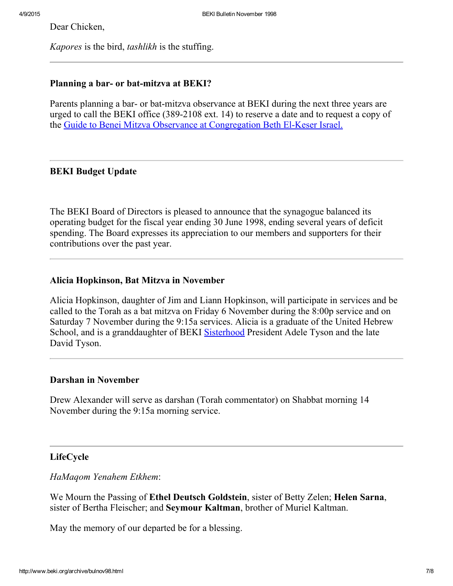Dear Chicken,

Kapores is the bird, tashlikh is the stuffing.

# <span id="page-6-2"></span>Planning a bar- or bat-mitzva at BEKI?

Parents planning a bar- or bat-mitzva observance at BEKI during the next three years are urged to call the BEKI office  $(389-2108 \text{ ext. } 14)$  to reserve a date and to request a copy of the Guide to Benei Mitzva Observance at [Congregation](http://www.beki.org/archive/bmpolicy.html) Beth El-Keser Israel.

# BEKI Budget Update

The BEKI Board of Directors is pleased to announce that the synagogue balanced its operating budget for the fiscal year ending 30 June 1998, ending several years of deficit spending. The Board expresses its appreciation to our members and supporters for their contributions over the past year.

## <span id="page-6-3"></span>Alicia Hopkinson, Bat Mitzva in November

Alicia Hopkinson, daughter of Jim and Liann Hopkinson, will participate in services and be called to the Torah as a bat mitzva on Friday 6 November during the 8:00p service and on Saturday 7 November during the 9:15a services. Alicia is a graduate of the United Hebrew School, and is a granddaughter of BEKI [Sisterhood](http://www.beki.org/archive/sisterhood.html) President Adele Tyson and the late David Tyson.

### <span id="page-6-1"></span>Darshan in November

Drew Alexander will serve as darshan (Torah commentator) on Shabbat morning 14 November during the 9:15a morning service.

# <span id="page-6-0"></span>LifeCycle

HaMaqom Yenahem Etkhem:

We Mourn the Passing of **Ethel Deutsch Goldstein**, sister of Betty Zelen; **Helen Sarna**, sister of Bertha Fleischer; and Seymour Kaltman, brother of Muriel Kaltman.

May the memory of our departed be for a blessing.